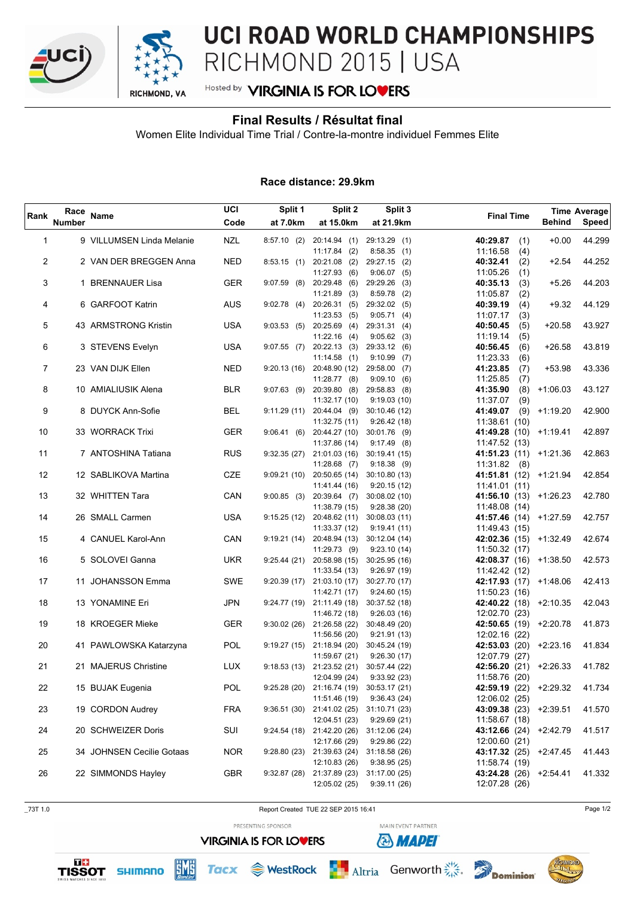



# UCI ROAD WORLD CHAMPIONSHIPS RICHMOND 2015 | USA

## Hosted by **VIRGINIA IS FOR LOVERS**

### **Final Results / Résultat final**

Women Elite Individual Time Trial / Contre-la-montre individuel Femmes Elite

#### **Race distance: 29.9km**

| Rank        | Race<br><b>Number</b> | <b>Name</b>               | UCI<br>Code | Split 1<br>Split 2<br>Split 3<br>at 7.0km<br>at 15.0km<br>at 21.9km |                                 | <b>Final Time</b>             | <b>Behind</b>        | <b>Time Average</b><br><b>Speed</b> |        |
|-------------|-----------------------|---------------------------|-------------|---------------------------------------------------------------------|---------------------------------|-------------------------------|----------------------|-------------------------------------|--------|
|             |                       |                           |             |                                                                     |                                 |                               |                      |                                     |        |
| $\mathbf 1$ |                       | 9 VILLUMSEN Linda Melanie | <b>NZL</b>  | $8:57.10$ (2)                                                       | 20:14.94(1)                     | 29:13.29 (1)                  | 40:29.87             | $+0.00$<br>(1)                      | 44.299 |
|             |                       |                           |             |                                                                     | $11:17.84$ (2)                  | 8:58.35(1)                    | 11:16.58             | (4)                                 |        |
| 2           |                       | 2 VAN DER BREGGEN Anna    | <b>NED</b>  | 8:53.15(1)                                                          | 20:21.08 (2)                    | 29:27.15 (2)                  | 40:32.41             | $+2.54$<br>(2)                      | 44.252 |
| 3           |                       | 1 BRENNAUER Lisa          | <b>GER</b>  | $9:07.59$ (8)                                                       | 11:27.93(6)<br>20:29.48 (6)     | $9:06.07$ (5)<br>29:29.26 (3) | 11:05.26<br>40:35.13 | (1)<br>(3)<br>$+5.26$               | 44.203 |
|             |                       |                           |             |                                                                     | 11:21.89<br>(3)                 | $8:59.78$ (2)                 | 11:05.87             | (2)                                 |        |
| 4           |                       | 6 GARFOOT Katrin          | <b>AUS</b>  | 9:02.78(4)                                                          | 20:26.31 (5)                    | 29:32.02 (5)                  | 40:39.19             | $+9.32$<br>(4)                      | 44.129 |
|             |                       |                           |             |                                                                     | 11:23.53(5)                     | 9:05.71(4)                    | 11:07.17             | (3)                                 |        |
| 5           |                       | 43 ARMSTRONG Kristin      | <b>USA</b>  | 9:03.53(5)                                                          | $20:25.69$ (4)                  | 29:31.31 (4)                  | 40:50.45             | (5)<br>$+20.58$                     | 43.927 |
|             |                       |                           |             |                                                                     | $11:22.16$ (4)                  | $9:05.62$ (3)                 | 11:19.14             | (5)                                 |        |
| 6           |                       | 3 STEVENS Evelyn          | <b>USA</b>  | $9:07.55$ (7)                                                       | 20:22.13 (3)                    | 29:33.12 (6)                  | 40:56.45             | (6)<br>$+26.58$                     | 43.819 |
|             |                       |                           |             |                                                                     | 11:14.58(1)                     | $9:10.99$ (7)                 | 11:23.33             | (6)                                 |        |
| 7           |                       | 23 VAN DIJK Ellen         | <b>NED</b>  | 9:20.13(16)                                                         | 20:48.90 (12)                   | 29:58.00 (7)                  | 41:23.85             | +53.98<br>(7)                       | 43.336 |
|             |                       |                           |             |                                                                     | $11:28.77$ (8)                  | 9:09.10(6)                    | 11:25.85             | (7)                                 |        |
| 8           |                       | 10 AMIALIUSIK Alena       | <b>BLR</b>  | $9:07.63$ (9)                                                       | 20:39.80 (8)                    | 29:58.83 (8)                  | 41:35.90             | (8)<br>$+1:06.03$                   | 43.127 |
|             |                       |                           |             |                                                                     | 11:32.17 (10)                   | 9:19.03(10)                   | 11:37.07             | (9)                                 |        |
| 9           |                       | 8 DUYCK Ann-Sofie         | <b>BEL</b>  | 9:11.29(11)                                                         | 20:44.04 (9)                    | 30:10.46 (12)                 | 41:49.07             | $(9)$ +1:19.20                      | 42.900 |
|             |                       |                           |             |                                                                     | 11:32.75 (11)                   | 9:26.42(18)                   | 11:38.61(10)         |                                     |        |
| 10          |                       | 33 WORRACK Trixi          | <b>GER</b>  | 9:06.41(6)                                                          | 20:44.27 (10)                   | 30:01.76 (9)                  |                      | 41:49.28 (10) +1:19.41              | 42.897 |
|             |                       |                           |             |                                                                     | 11:37.86 (14)                   | $9:17.49$ (8)                 | 11:47.52 (13)        |                                     |        |
| 11          |                       | 7 ANTOSHINA Tatiana       | <b>RUS</b>  | 9:32.35(27)                                                         | 21:01.03 (16)                   | 30:19.41 (15)                 |                      | 41:51.23 (11) +1:21.36              | 42.863 |
| 12          |                       | 12 SABLIKOVA Martina      | CZE         | 9:09.21(10)                                                         | $11:28.68$ (7)<br>20:50.65 (14) | 9:18.38(9)<br>30:10.80 (13)   | 11:31.82             | (8)<br>41:51.81 (12) +1:21.94       | 42.854 |
|             |                       |                           |             |                                                                     | 11:41.44 (16)                   | 9:20.15(12)                   | 11:41.01(11)         |                                     |        |
| 13          |                       | 32 WHITTEN Tara           | CAN         | $9:00.85$ (3)                                                       | 20:39.64 (7)                    | 30:08.02 (10)                 |                      | 41:56.10 (13) +1:26.23              | 42.780 |
|             |                       |                           |             |                                                                     | 11:38.79 (15)                   | 9:28.38(20)                   | 11:48.08(14)         |                                     |        |
| 14          |                       | 26 SMALL Carmen           | <b>USA</b>  | 9:15.25(12)                                                         | 20:48.62 (11)                   | 30:08.03 (11)                 |                      | 41:57.46 (14) +1:27.59              | 42.757 |
|             |                       |                           |             |                                                                     | 11:33.37 (12)                   | 9:19.41(11)                   | 11:49.43 (15)        |                                     |        |
| 15          |                       | 4 CANUEL Karol-Ann        | CAN         | 9:19.21(14)                                                         | 20:48.94 (13)                   | 30:12.04 (14)                 |                      | 42:02.36 (15) +1:32.49              | 42.674 |
|             |                       |                           |             |                                                                     | $11:29.73$ (9)                  | 9:23.10(14)                   | 11:50.32(17)         |                                     |        |
| 16          |                       | 5 SOLOVEI Ganna           | <b>UKR</b>  | 9:25.44(21)                                                         | 20:58.98 (15)                   | 30:25.95 (16)                 |                      | 42:08.37 (16) +1:38.50              | 42.573 |
|             |                       |                           |             |                                                                     | 11:33.54 (13)                   | 9:26.97(19)                   | 11:42.42 (12)        |                                     |        |
| 17          |                       | 11 JOHANSSON Emma         | SWE         | 9:20.39(17)                                                         | 21:03.10 (17)                   | 30:27.70 (17)                 |                      | 42:17.93 (17) +1:48.06              | 42.413 |
|             |                       |                           |             |                                                                     | 11:42.71 (17)                   | 9:24.60(15)                   | 11:50.23(16)         |                                     |        |
| 18          |                       | 13 YONAMINE Eri           | JPN         | 9:24.77 (19)                                                        | 21:11.49 (18)                   | 30:37.52 (18)                 |                      | 42:40.22 (18) +2:10.35              | 42.043 |
|             |                       |                           |             |                                                                     | 11:46.72 (18)                   | 9:26.03(16)                   | 12:02.70 (23)        |                                     |        |
| 19          |                       | 18 KROEGER Mieke          | <b>GER</b>  | 9:30.02(26)                                                         | 21:26.58 (22)                   | 30:48.49 (20)                 |                      | 42:50.65 (19) +2:20.78              | 41.873 |
|             |                       |                           |             |                                                                     | 11:56.56 (20)                   | 9:21.91(13)                   | 12:02.16 (22)        |                                     |        |
| 20          |                       | 41 PAWLOWSKA Katarzyna    | POL         | 9:19.27(15)                                                         | 21:18.94 (20)<br>11:59.67 (21)  | 30:45.24 (19)<br>9:26.30(17)  | 12:07.79 (27)        | 42:53.03 (20) +2:23.16              | 41.834 |
| 21          |                       | 21 MAJERUS Christine      | LUX.        |                                                                     | $9:18.53(13)$ $21:23.52(21)$    | 30:57.44 (22)                 |                      | 42:56.20 (21) +2:26.33              | 41.782 |
|             |                       |                           |             |                                                                     |                                 | 12:04.99 (24) 9:33.92 (23)    | 11:58.76 (20)        |                                     |        |
| 22          |                       | 15 BUJAK Eugenia          | POL         | 9:25.28 (20)                                                        | 21:16.74 (19) 30:53.17 (21)     |                               |                      | 42:59.19 (22) +2:29.32              | 41.734 |
|             |                       |                           |             |                                                                     | 11:51.46 (19)                   | 9:36.43(24)                   | 12:06.02 (25)        |                                     |        |
| 23          |                       | 19 CORDON Audrey          | FRA         | 9:36.51(30)                                                         | 21:41.02 (25)                   | 31:10.71 (23)                 |                      | 43:09.38 (23) +2:39.51              | 41.570 |
|             |                       |                           |             |                                                                     | 12:04.51 (23)                   | 9:29.69(21)                   | 11:58.67 (18)        |                                     |        |
| 24          |                       | 20 SCHWEIZER Doris        | SUI         | 9:24.54(18)                                                         | 21:42.20 (26)                   | 31:12.06 (24)                 |                      | 43:12.66 (24) +2:42.79              | 41.517 |
|             |                       |                           |             |                                                                     | 12:17.66 (29)                   | 9:29.86(22)                   | 12:00.60 (21)        |                                     |        |
| 25          |                       | 34 JOHNSEN Cecilie Gotaas | <b>NOR</b>  | 9:28.80 (23)                                                        | 21:39.63 (24)                   | 31:18.58 (26)                 |                      | 43:17.32 (25) +2:47.45              | 41.443 |
|             |                       |                           |             |                                                                     | 12:10.83 (26)                   | 9:38.95(25)                   | 11:58.74 (19)        |                                     |        |
| 26          |                       | 22 SIMMONDS Hayley        | <b>GBR</b>  | 9:32.87(28)                                                         | 21:37.89 (23)                   | 31:17.00 (25)                 |                      | 43:24.28 (26) +2:54.41              | 41.332 |
|             |                       |                           |             |                                                                     | 12:05.02 (25)                   | 9:39.11(26)                   | 12:07.28 (26)        |                                     |        |





ПE



rve

PRESENTING SPONSOR

**VIRGINIA IS FOR LOVERS** 



MAIN EVENT PARTNER **& MAPEI**